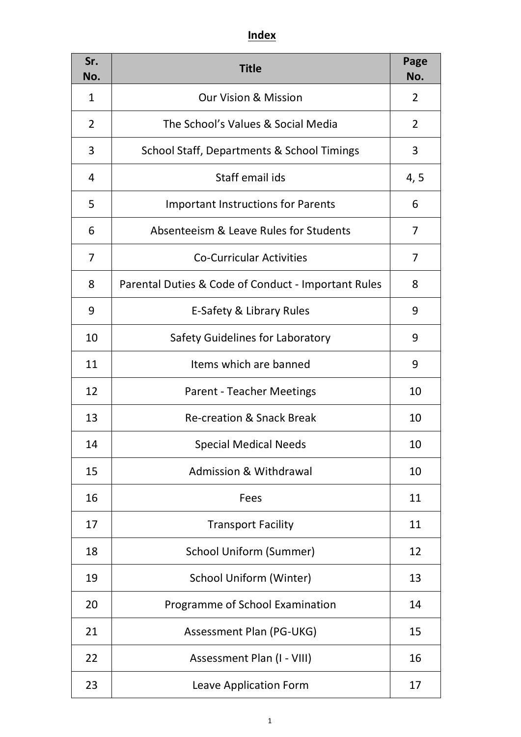# **Index**

| Sr.<br>No.     | <b>Title</b>                                        | Page<br>No.    |
|----------------|-----------------------------------------------------|----------------|
| $\mathbf{1}$   | <b>Our Vision &amp; Mission</b>                     | $\overline{2}$ |
| $\overline{2}$ | The School's Values & Social Media                  | $\overline{2}$ |
| 3              | School Staff, Departments & School Timings          | 3              |
| 4              | Staff email ids                                     | 4, 5           |
| 5              | <b>Important Instructions for Parents</b>           | 6              |
| 6              | Absenteeism & Leave Rules for Students              | $\overline{7}$ |
| 7              | <b>Co-Curricular Activities</b>                     | 7              |
| 8              | Parental Duties & Code of Conduct - Important Rules | 8              |
| 9              | E-Safety & Library Rules                            | 9              |
| 10             | Safety Guidelines for Laboratory                    | 9              |
| 11             | Items which are banned                              | 9              |
| 12             | <b>Parent - Teacher Meetings</b>                    | 10             |
| 13             | <b>Re-creation &amp; Snack Break</b>                | 10             |
| 14             | <b>Special Medical Needs</b>                        | 10             |
| 15             | <b>Admission &amp; Withdrawal</b>                   | 10             |
| 16             | Fees                                                | 11             |
| 17             | <b>Transport Facility</b>                           | 11             |
| 18             | <b>School Uniform (Summer)</b>                      | 12             |
| 19             | School Uniform (Winter)                             | 13             |
| 20             | Programme of School Examination                     | 14             |
| 21             | Assessment Plan (PG-UKG)                            | 15             |
| 22             | Assessment Plan (I - VIII)                          | 16             |
| 23             | Leave Application Form                              | 17             |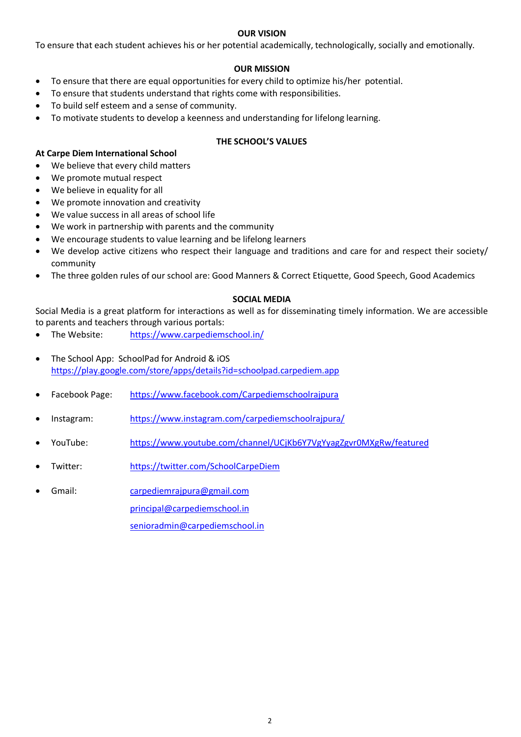#### **OUR VISION**

To ensure that each student achieves his or her potential academically, technologically, socially and emotionally.

#### **OUR MISSION**

- To ensure that there are equal opportunities for every child to optimize his/her potential.
- To ensure that students understand that rights come with responsibilities.
- To build self esteem and a sense of community.
- To motivate students to develop a keenness and understanding for lifelong learning.

#### **THE SCHOOL'S VALUES**

- **At Carpe Diem International School**
- We believe that every child matters
- We promote mutual respect
- We believe in equality for all
- We promote innovation and creativity
- We value success in all areas of school life
- We work in partnership with parents and the community
- We encourage students to value learning and be lifelong learners
- We develop active citizens who respect their language and traditions and care for and respect their society/ community
- The three golden rules of our school are: Good Manners & Correct Etiquette, Good Speech, Good Academics

#### **SOCIAL MEDIA**

Social Media is a great platform for interactions as well as for disseminating timely information. We are accessible to parents and teachers through various portals:

- The Website: <https://www.carpediemschool.in/>
- The School App: SchoolPad for Android & iOS <https://play.google.com/store/apps/details?id=schoolpad.carpediem.app>
- Facebook Page: <https://www.facebook.com/Carpediemschoolrajpura>
- Instagram: <https://www.instagram.com/carpediemschoolrajpura/>
- YouTube: <https://www.youtube.com/channel/UCjKb6Y7VgYyagZgvr0MXgRw/featured>
- Twitter: <https://twitter.com/SchoolCarpeDiem>
- Gmail: [carpediemrajpura@gmail.com](mailto:carpediemrajpura@gmail.com)

[principal@carpediemschool.in](mailto:principal@carpediemschool.in)

[senioradmin@carpediemschool.in](mailto:senioradmin@carpediemschool.in)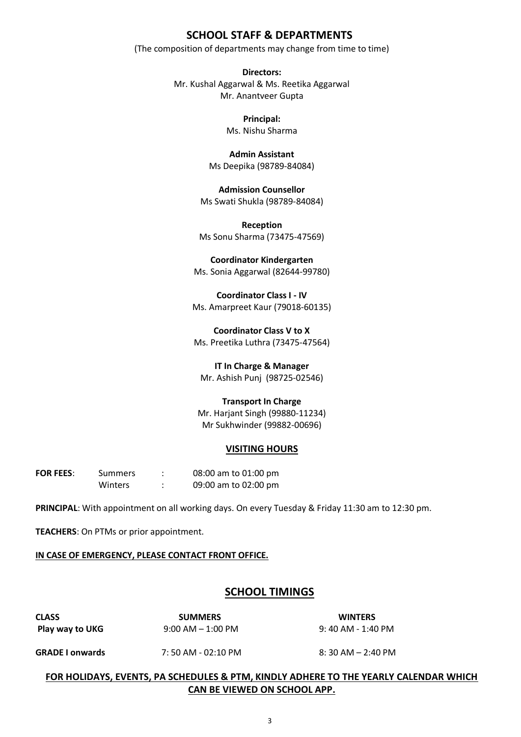## **SCHOOL STAFF & DEPARTMENTS**

(The composition of departments may change from time to time)

**Directors:** Mr. Kushal Aggarwal & Ms. Reetika Aggarwal Mr. Anantveer Gupta

> **Principal:** Ms. Nishu Sharma

**Admin Assistant** Ms Deepika (98789-84084)

**Admission Counsellor** Ms Swati Shukla (98789-84084)

**Reception** Ms Sonu Sharma (73475-47569)

**Coordinator Kindergarten** Ms. Sonia Aggarwal (82644-99780)

**Coordinator Class I - IV** Ms. Amarpreet Kaur (79018-60135)

**Coordinator Class V to X** Ms. Preetika Luthra (73475-47564)

**IT In Charge & Manager** Mr. Ashish Punj (98725-02546)

**Transport In Charge** Mr. Harjant Singh (99880-11234) Mr Sukhwinder (99882-00696)

#### **VISITING HOURS**

| <b>FOR FEES:</b> | Summers        | 08:00 am to 01:00 pm |
|------------------|----------------|----------------------|
|                  | <b>Winters</b> | 09:00 am to 02:00 pm |

**PRINCIPAL**: With appointment on all working days. On every Tuesday & Friday 11:30 am to 12:30 pm.

**TEACHERS**: On PTMs or prior appointment.

**IN CASE OF EMERGENCY, PLEASE CONTACT FRONT OFFICE.** 

## **SCHOOL TIMINGS**

| <b>CLASS</b>           | <b>SUMMERS</b>       | <b>WINTERS</b>        |
|------------------------|----------------------|-----------------------|
| Play way to UKG        | $9:00$ AM $-1:00$ PM | $9:40$ AM - 1:40 PM   |
| <b>GRADE I onwards</b> | 7: 50 AM - 02:10 PM  | $8:30$ AM $- 2:40$ PM |

**FOR HOLIDAYS, EVENTS, PA SCHEDULES & PTM, KINDLY ADHERE TO THE YEARLY CALENDAR WHICH CAN BE VIEWED ON SCHOOL APP.**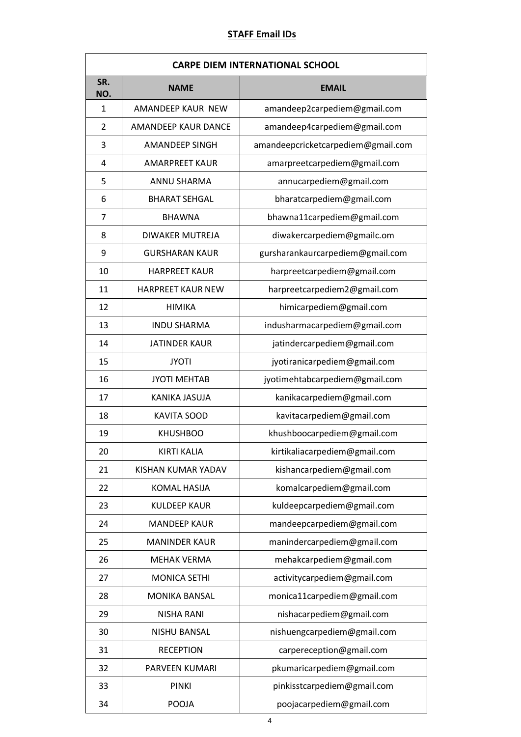## **STAFF Email IDs**

| <b>CARPE DIEM INTERNATIONAL SCHOOL</b> |                          |                                    |
|----------------------------------------|--------------------------|------------------------------------|
| SR.<br>NO.                             | <b>NAME</b>              | <b>EMAIL</b>                       |
| 1                                      | AMANDEEP KAUR NEW        | amandeep2carpediem@gmail.com       |
| $\overline{2}$                         | AMANDEEP KAUR DANCE      | amandeep4carpediem@gmail.com       |
| 3                                      | <b>AMANDEEP SINGH</b>    | amandeepcricketcarpediem@gmail.com |
| 4                                      | <b>AMARPREET KAUR</b>    | amarpreetcarpediem@gmail.com       |
| 5                                      | <b>ANNU SHARMA</b>       | annucarpediem@gmail.com            |
| 6                                      | <b>BHARAT SEHGAL</b>     | bharatcarpediem@gmail.com          |
| $\overline{7}$                         | <b>BHAWNA</b>            | bhawna11carpediem@gmail.com        |
| 8                                      | <b>DIWAKER MUTREJA</b>   | diwakercarpediem@gmailc.om         |
| 9                                      | <b>GURSHARAN KAUR</b>    | gursharankaurcarpediem@gmail.com   |
| 10                                     | <b>HARPREET KAUR</b>     | harpreetcarpediem@gmail.com        |
| 11                                     | <b>HARPREET KAUR NEW</b> | harpreetcarpediem2@gmail.com       |
| 12                                     | <b>HIMIKA</b>            | himicarpediem@gmail.com            |
| 13                                     | <b>INDU SHARMA</b>       | indusharmacarpediem@gmail.com      |
| 14                                     | <b>JATINDER KAUR</b>     | jatindercarpediem@gmail.com        |
| 15                                     | <b>JYOTI</b>             | jyotiranicarpediem@gmail.com       |
| 16                                     | <b>JYOTI MEHTAB</b>      | jyotimehtabcarpediem@gmail.com     |
| 17                                     | KANIKA JASUJA            | kanikacarpediem@gmail.com          |
| 18                                     | <b>KAVITA SOOD</b>       | kavitacarpediem@gmail.com          |
| 19                                     | <b>KHUSHBOO</b>          | khushboocarpediem@gmail.com        |
| 20                                     | <b>KIRTI KALIA</b>       | kirtikaliacarpediem@gmail.com      |
| 21                                     | KISHAN KUMAR YADAV       | kishancarpediem@gmail.com          |
| 22                                     | KOMAL HASIJA             | komalcarpediem@gmail.com           |
| 23                                     | <b>KULDEEP KAUR</b>      | kuldeepcarpediem@gmail.com         |
| 24                                     | <b>MANDEEP KAUR</b>      | mandeepcarpediem@gmail.com         |
| 25                                     | <b>MANINDER KAUR</b>     | manindercarpediem@gmail.com        |
| 26                                     | <b>MEHAK VERMA</b>       | mehakcarpediem@gmail.com           |
| 27                                     | <b>MONICA SETHI</b>      | activitycarpediem@gmail.com        |
| 28                                     | <b>MONIKA BANSAL</b>     | monica11carpediem@gmail.com        |
| 29                                     | <b>NISHA RANI</b>        | nishacarpediem@gmail.com           |
| 30                                     | <b>NISHU BANSAL</b>      | nishuengcarpediem@gmail.com        |
| 31                                     | <b>RECEPTION</b>         | carpereception@gmail.com           |
| 32                                     | PARVEEN KUMARI           | pkumaricarpediem@gmail.com         |
| 33                                     | <b>PINKI</b>             | pinkisstcarpediem@gmail.com        |
| 34                                     | POOJA                    | poojacarpediem@gmail.com           |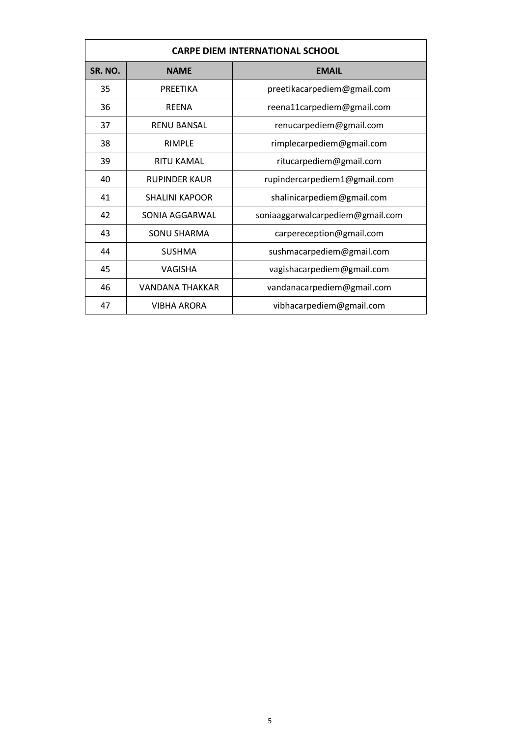| <b>CARPE DIEM INTERNATIONAL SCHOOL</b> |                       |                                  |
|----------------------------------------|-----------------------|----------------------------------|
| SR. NO.                                | <b>NAME</b>           | <b>EMAIL</b>                     |
| 35                                     | <b>PREETIKA</b>       | preetikacarpediem@gmail.com      |
| 36                                     | <b>REENA</b>          | reena11carpediem@gmail.com       |
| 37                                     | <b>RENU BANSAL</b>    | renucarpediem@gmail.com          |
| 38                                     | RIMPLE                | rimplecarpediem@gmail.com        |
| 39                                     | <b>RITU KAMAL</b>     | ritucarpediem@gmail.com          |
| 40                                     | <b>RUPINDER KAUR</b>  | rupindercarpediem1@gmail.com     |
| 41                                     | <b>SHALINI KAPOOR</b> | shalinicarpediem@gmail.com       |
| 42                                     | SONIA AGGARWAL        | soniaaggarwalcarpediem@gmail.com |
| 43                                     | <b>SONU SHARMA</b>    | carpereception@gmail.com         |
| 44                                     | <b>SUSHMA</b>         | sushmacarpediem@gmail.com        |
| 45                                     | VAGISHA               | vagishacarpediem@gmail.com       |
| 46                                     | VANDANA THAKKAR       | vandanacarpediem@gmail.com       |
| 47                                     | <b>VIBHA ARORA</b>    | vibhacarpediem@gmail.com         |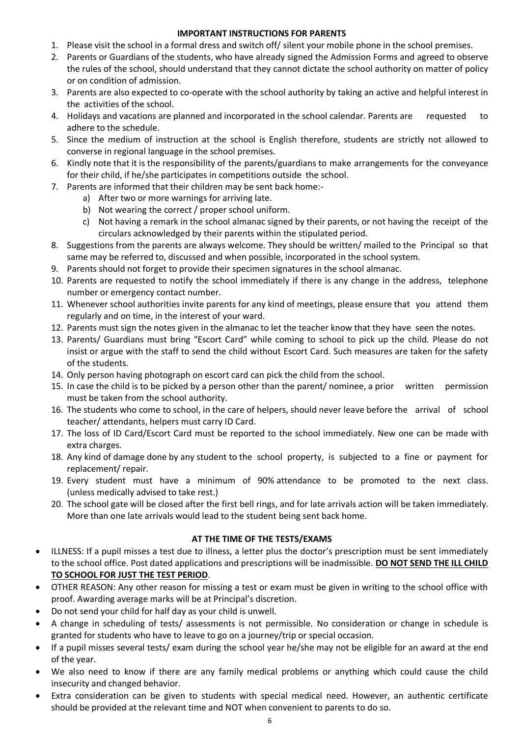#### **IMPORTANT INSTRUCTIONS FOR PARENTS**

- 1. Please visit the school in a formal dress and switch off/ silent your mobile phone in the school premises.
- 2. Parents or Guardians of the students, who have already signed the Admission Forms and agreed to observe the rules of the school, should understand that they cannot dictate the school authority on matter of policy or on condition of admission.
- 3. Parents are also expected to co-operate with the school authority by taking an active and helpful interest in the activities of the school.
- 4. Holidays and vacations are planned and incorporated in the school calendar. Parents are requested to adhere to the schedule.
- 5. Since the medium of instruction at the school is English therefore, students are strictly not allowed to converse in regional language in the school premises.
- 6. Kindly note that it is the responsibility of the parents/guardians to make arrangements for the conveyance for their child, if he/she participates in competitions outside the school.
- 7. Parents are informed that their children may be sent back home:
	- a) After two or more warnings for arriving late.
	- b) Not wearing the correct / proper school uniform.
	- c) Not having a remark in the school almanac signed by their parents, or not having the receipt of the circulars acknowledged by their parents within the stipulated period.
- 8. Suggestions from the parents are always welcome. They should be written/ mailed to the Principal so that same may be referred to, discussed and when possible, incorporated in the school system.
- 9. Parents should not forget to provide their specimen signatures in the school almanac.
- 10. Parents are requested to notify the school immediately if there is any change in the address, telephone number or emergency contact number.
- 11. Whenever school authorities invite parents for any kind of meetings, please ensure that you attend them regularly and on time, in the interest of your ward.
- 12. Parents must sign the notes given in the almanac to let the teacher know that they have seen the notes.
- 13. Parents/ Guardians must bring "Escort Card" while coming to school to pick up the child. Please do not insist or argue with the staff to send the child without Escort Card. Such measures are taken for the safety of the students.
- 14. Only person having photograph on escort card can pick the child from the school.
- 15. In case the child is to be picked by a person other than the parent/ nominee, a prior written permission must be taken from the school authority.
- 16. The students who come to school, in the care of helpers, should never leave before the arrival of school teacher/ attendants, helpers must carry ID Card.
- 17. The loss of ID Card/Escort Card must be reported to the school immediately. New one can be made with extra charges.
- 18. Any kind of damage done by any student to the school property, is subjected to a fine or payment for replacement/ repair.
- 19. Every student must have a minimum of 90% attendance to be promoted to the next class. (unless medically advised to take rest.)
- 20. The school gate will be closed after the first bell rings, and for late arrivals action will be taken immediately. More than one late arrivals would lead to the student being sent back home.

## **AT THE TIME OF THE TESTS/EXAMS**

- ILLNESS: If a pupil misses a test due to illness, a letter plus the doctor's prescription must be sent immediately to the school office. Post dated applications and prescriptions will be inadmissible. **DO NOT SEND THE ILL CHILD TO SCHOOL FOR JUST THE TEST PERIOD**.
- OTHER REASON: Any other reason for missing a test or exam must be given in writing to the school office with proof. Awarding average marks will be at Principal's discretion.
- Do not send your child for half day as your child is unwell.
- A change in scheduling of tests/ assessments is not permissible. No consideration or change in schedule is granted for students who have to leave to go on a journey/trip or special occasion.
- If a pupil misses several tests/ exam during the school year he/she may not be eligible for an award at the end of the year.
- We also need to know if there are any family medical problems or anything which could cause the child insecurity and changed behavior.
- Extra consideration can be given to students with special medical need. However, an authentic certificate should be provided at the relevant time and NOT when convenient to parents to do so.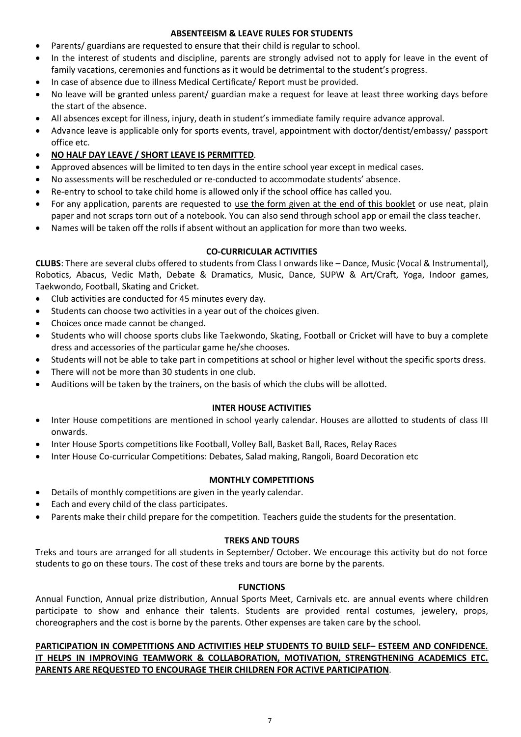## **ABSENTEEISM & LEAVE RULES FOR STUDENTS**

- Parents/ guardians are requested to ensure that their child is regular to school.
- In the interest of students and discipline, parents are strongly advised not to apply for leave in the event of family vacations, ceremonies and functions as it would be detrimental to the student's progress.
- In case of absence due to illness Medical Certificate/ Report must be provided.
- No leave will be granted unless parent/ guardian make a request for leave at least three working days before the start of the absence.
- All absences except for illness, injury, death in student's immediate family require advance approval.
- Advance leave is applicable only for sports events, travel, appointment with doctor/dentist/embassy/ passport office etc.
- **NO HALF DAY LEAVE / SHORT LEAVE IS PERMITTED**.
- Approved absences will be limited to ten days in the entire school year except in medical cases.
- No assessments will be rescheduled or re-conducted to accommodate students' absence.
- Re-entry to school to take child home is allowed only if the school office has called you.
- For any application, parents are requested to use the form given at the end of this booklet or use neat, plain paper and not scraps torn out of a notebook. You can also send through school app or email the class teacher.
- Names will be taken off the rolls if absent without an application for more than two weeks.

## **CO-CURRICULAR ACTIVITIES**

**CLUBS**: There are several clubs offered to students from Class I onwards like – Dance, Music (Vocal & Instrumental), Robotics, Abacus, Vedic Math, Debate & Dramatics, Music, Dance, SUPW & Art/Craft, Yoga, Indoor games, Taekwondo, Football, Skating and Cricket.

- Club activities are conducted for 45 minutes every day.
- Students can choose two activities in a year out of the choices given.
- Choices once made cannot be changed.
- Students who will choose sports clubs like Taekwondo, Skating, Football or Cricket will have to buy a complete dress and accessories of the particular game he/she chooses.
- Students will not be able to take part in competitions at school or higher level without the specific sports dress.
- There will not be more than 30 students in one club.
- Auditions will be taken by the trainers, on the basis of which the clubs will be allotted.

## **INTER HOUSE ACTIVITIES**

- Inter House competitions are mentioned in school yearly calendar. Houses are allotted to students of class III onwards.
- Inter House Sports competitions like Football, Volley Ball, Basket Ball, Races, Relay Races
- Inter House Co-curricular Competitions: Debates, Salad making, Rangoli, Board Decoration etc

## **MONTHLY COMPETITIONS**

- Details of monthly competitions are given in the yearly calendar.
- Each and every child of the class participates.
- Parents make their child prepare for the competition. Teachers guide the students for the presentation.

## **TREKS AND TOURS**

Treks and tours are arranged for all students in September/ October. We encourage this activity but do not force students to go on these tours. The cost of these treks and tours are borne by the parents.

## **FUNCTIONS**

Annual Function, Annual prize distribution, Annual Sports Meet, Carnivals etc. are annual events where children participate to show and enhance their talents. Students are provided rental costumes, jewelery, props, choreographers and the cost is borne by the parents. Other expenses are taken care by the school.

## **PARTICIPATION IN COMPETITIONS AND ACTIVITIES HELP STUDENTS TO BUILD SELF– ESTEEM AND CONFIDENCE. IT HELPS IN IMPROVING TEAMWORK & COLLABORATION, MOTIVATION, STRENGTHENING ACADEMICS ETC. PARENTS ARE REQUESTED TO ENCOURAGE THEIR CHILDREN FOR ACTIVE PARTICIPATION**.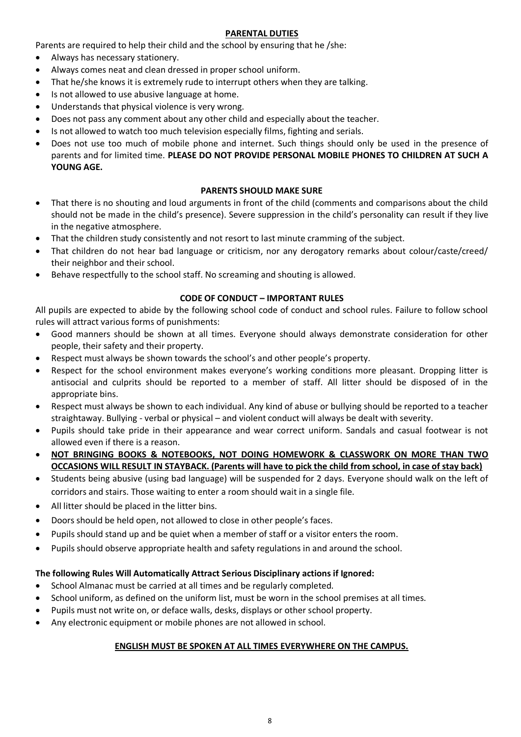## **PARENTAL DUTIES**

Parents are required to help their child and the school by ensuring that he /she:

- Always has necessary stationery.
- Always comes neat and clean dressed in proper school uniform.
- That he/she knows it is extremely rude to interrupt others when they are talking.
- Is not allowed to use abusive language at home.
- Understands that physical violence is very wrong.
- Does not pass any comment about any other child and especially about the teacher.
- Is not allowed to watch too much television especially films, fighting and serials.
- Does not use too much of mobile phone and internet. Such things should only be used in the presence of parents and for limited time. **PLEASE DO NOT PROVIDE PERSONAL MOBILE PHONES TO CHILDREN AT SUCH A YOUNG AGE.**

## **PARENTS SHOULD MAKE SURE**

- That there is no shouting and loud arguments in front of the child (comments and comparisons about the child should not be made in the child's presence). Severe suppression in the child's personality can result if they live in the negative atmosphere.
- That the children study consistently and not resort to last minute cramming of the subject.
- That children do not hear bad language or criticism, nor any derogatory remarks about colour/caste/creed/ their neighbor and their school.
- Behave respectfully to the school staff. No screaming and shouting is allowed.

#### **CODE OF CONDUCT – IMPORTANT RULES**

All pupils are expected to abide by the following school code of conduct and school rules. Failure to follow school rules will attract various forms of punishments:

- Good manners should be shown at all times. Everyone should always demonstrate consideration for other people, their safety and their property.
- Respect must always be shown towards the school's and other people's property.
- Respect for the school environment makes everyone's working conditions more pleasant. Dropping litter is antisocial and culprits should be reported to a member of staff. All litter should be disposed of in the appropriate bins.
- Respect must always be shown to each individual. Any kind of abuse or bullying should be reported to a teacher straightaway. Bullying - verbal or physical – and violent conduct will always be dealt with severity.
- Pupils should take pride in their appearance and wear correct uniform. Sandals and casual footwear is not allowed even if there is a reason.
- **NOT BRINGING BOOKS & NOTEBOOKS, NOT DOING HOMEWORK & CLASSWORK ON MORE THAN TWO OCCASIONS WILL RESULT IN STAYBACK. (Parents will have to pick the child from school, in case of stay back)**
- Students being abusive (using bad language) will be suspended for 2 days. Everyone should walk on the left of corridors and stairs. Those waiting to enter a room should wait in a single file.
- All litter should be placed in the litter bins.
- Doors should be held open, not allowed to close in other people's faces.
- Pupils should stand up and be quiet when a member of staff or a visitor enters the room.
- Pupils should observe appropriate health and safety regulations in and around the school.

## **The following Rules Will Automatically Attract Serious Disciplinary actions if Ignored:**

- School Almanac must be carried at all times and be regularly completed.
- School uniform, as defined on the uniform list, must be worn in the school premises at all times.
- Pupils must not write on, or deface walls, desks, displays or other school property.
- Any electronic equipment or mobile phones are not allowed in school.

## **ENGLISH MUST BE SPOKEN AT ALL TIMES EVERYWHERE ON THE CAMPUS.**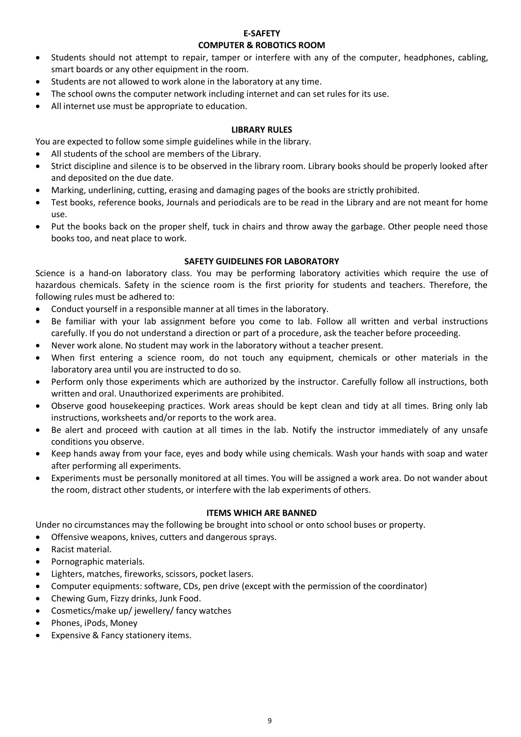## **E-SAFETY COMPUTER & ROBOTICS ROOM**

- Students should not attempt to repair, tamper or interfere with any of the computer, headphones, cabling, smart boards or any other equipment in the room.
- Students are not allowed to work alone in the laboratory at any time.
- The school owns the computer network including internet and can set rules for its use.
- All internet use must be appropriate to education.

## **LIBRARY RULES**

You are expected to follow some simple guidelines while in the library.

- All students of the school are members of the Library.
- Strict discipline and silence is to be observed in the library room. Library books should be properly looked after and deposited on the due date.
- Marking, underlining, cutting, erasing and damaging pages of the books are strictly prohibited.
- Test books, reference books, Journals and periodicals are to be read in the Library and are not meant for home use.
- Put the books back on the proper shelf, tuck in chairs and throw away the garbage. Other people need those books too, and neat place to work.

## **SAFETY GUIDELINES FOR LABORATORY**

Science is a hand-on laboratory class. You may be performing laboratory activities which require the use of hazardous chemicals. Safety in the science room is the first priority for students and teachers. Therefore, the following rules must be adhered to:

- Conduct yourself in a responsible manner at all times in the laboratory.
- Be familiar with your lab assignment before you come to lab. Follow all written and verbal instructions carefully. If you do not understand a direction or part of a procedure, ask the teacher before proceeding.
- Never work alone. No student may work in the laboratory without a teacher present.
- When first entering a science room, do not touch any equipment, chemicals or other materials in the laboratory area until you are instructed to do so.
- Perform only those experiments which are authorized by the instructor. Carefully follow all instructions, both written and oral. Unauthorized experiments are prohibited.
- Observe good housekeeping practices. Work areas should be kept clean and tidy at all times. Bring only lab instructions, worksheets and/or reports to the work area.
- Be alert and proceed with caution at all times in the lab. Notify the instructor immediately of any unsafe conditions you observe.
- Keep hands away from your face, eyes and body while using chemicals. Wash your hands with soap and water after performing all experiments.
- Experiments must be personally monitored at all times. You will be assigned a work area. Do not wander about the room, distract other students, or interfere with the lab experiments of others.

## **ITEMS WHICH ARE BANNED**

Under no circumstances may the following be brought into school or onto school buses or property.

- Offensive weapons, knives, cutters and dangerous sprays.
- Racist material.
- Pornographic materials.
- Lighters, matches, fireworks, scissors, pocket lasers.
- Computer equipments: software, CDs, pen drive (except with the permission of the coordinator)
- Chewing Gum, Fizzy drinks, Junk Food.
- Cosmetics/make up/ jewellery/ fancy watches
- Phones, iPods, Money
- Expensive & Fancy stationery items.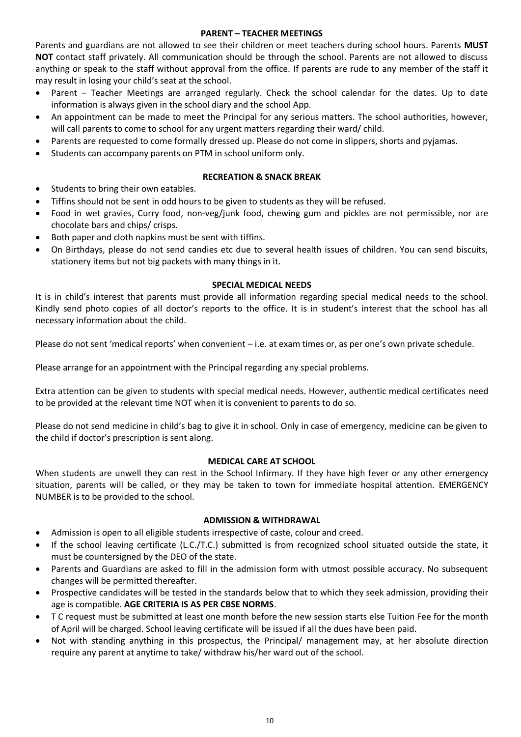#### **PARENT – TEACHER MEETINGS**

Parents and guardians are not allowed to see their children or meet teachers during school hours. Parents **MUST NOT** contact staff privately. All communication should be through the school. Parents are not allowed to discuss anything or speak to the staff without approval from the office. If parents are rude to any member of the staff it may result in losing your child's seat at the school.

- Parent Teacher Meetings are arranged regularly. Check the school calendar for the dates. Up to date information is always given in the school diary and the school App.
- An appointment can be made to meet the Principal for any serious matters. The school authorities, however, will call parents to come to school for any urgent matters regarding their ward/ child.
- Parents are requested to come formally dressed up. Please do not come in slippers, shorts and pyjamas.
- Students can accompany parents on PTM in school uniform only.

#### **RECREATION & SNACK BREAK**

- Students to bring their own eatables.
- Tiffins should not be sent in odd hours to be given to students as they will be refused.
- Food in wet gravies, Curry food, non-veg/junk food, chewing gum and pickles are not permissible, nor are chocolate bars and chips/ crisps.
- Both paper and cloth napkins must be sent with tiffins.
- On Birthdays, please do not send candies etc due to several health issues of children. You can send biscuits, stationery items but not big packets with many things in it.

#### **SPECIAL MEDICAL NEEDS**

It is in child's interest that parents must provide all information regarding special medical needs to the school. Kindly send photo copies of all doctor's reports to the office. It is in student's interest that the school has all necessary information about the child.

Please do not sent 'medical reports' when convenient – i.e. at exam times or, as per one's own private schedule.

Please arrange for an appointment with the Principal regarding any special problems.

Extra attention can be given to students with special medical needs. However, authentic medical certificates need to be provided at the relevant time NOT when it is convenient to parents to do so.

Please do not send medicine in child's bag to give it in school. Only in case of emergency, medicine can be given to the child if doctor's prescription is sent along.

## **MEDICAL CARE AT SCHOOL**

When students are unwell they can rest in the School Infirmary. If they have high fever or any other emergency situation, parents will be called, or they may be taken to town for immediate hospital attention. EMERGENCY NUMBER is to be provided to the school.

#### **ADMISSION & WITHDRAWAL**

- Admission is open to all eligible students irrespective of caste, colour and creed.
- If the school leaving certificate (L.C./T.C.) submitted is from recognized school situated outside the state, it must be countersigned by the DEO of the state.
- Parents and Guardians are asked to fill in the admission form with utmost possible accuracy. No subsequent changes will be permitted thereafter.
- Prospective candidates will be tested in the standards below that to which they seek admission, providing their age is compatible. **AGE CRITERIA IS AS PER CBSE NORMS**.
- T C request must be submitted at least one month before the new session starts else Tuition Fee for the month of April will be charged. School leaving certificate will be issued if all the dues have been paid.
- Not with standing anything in this prospectus, the Principal/ management may, at her absolute direction require any parent at anytime to take/ withdraw his/her ward out of the school.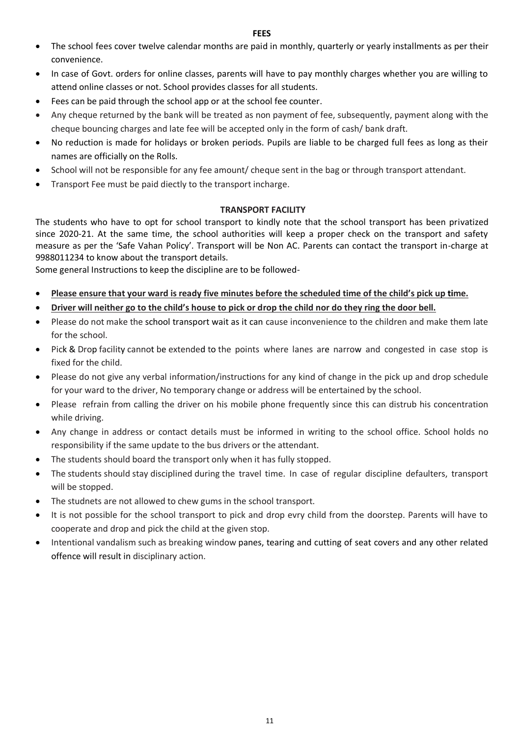- The school fees cover twelve calendar months are paid in monthly, quarterly or yearly installments as per their convenience.
- In case of Govt. orders for online classes, parents will have to pay monthly charges whether you are willing to attend online classes or not. School provides classes for all students.
- Fees can be paid through the school app or at the school fee counter.
- Any cheque returned by the bank will be treated as non payment of fee, subsequently, payment along with the cheque bouncing charges and late fee will be accepted only in the form of cash/ bank draft.
- No reduction is made for holidays or broken periods. Pupils are liable to be charged full fees as long as their names are officially on the Rolls.
- School will not be responsible for any fee amount/ cheque sent in the bag or through transport attendant.
- Transport Fee must be paid diectly to the transport incharge.

## **TRANSPORT FACILITY**

The students who have to opt for school transport to kindly note that the school transport has been privatized since 2020-21. At the same time, the school authorities will keep a proper check on the transport and safety measure as per the 'Safe Vahan Policy'. Transport will be Non AC. Parents can contact the transport in-charge at 9988011234 to know about the transport details.

Some general Instructions to keep the discipline are to be followed-

- Please ensure that your ward is ready five minutes before the scheduled time of the child's pick up time.
- Driver will neither go to the child's house to pick or drop the child nor do they ring the door bell.
- Please do not make the school transport wait as it can cause inconvenience to the children and make them late for the school.
- Pick & Drop facility cannot be extended to the points where lanes are narrow and congested in case stop is fixed for the child.
- Please do not give any verbal information/instructions for any kind of change in the pick up and drop schedule for your ward to the driver, No temporary change or address will be entertained by the school.
- Please refrain from calling the driver on his mobile phone frequently since this can distrub his concentration while driving.
- Any change in address or contact details must be informed in writing to the school office. School holds no responsibility if the same update to the bus drivers or the attendant.
- The students should board the transport only when it has fully stopped.
- The students should stay disciplined during the travel time. In case of regular discipline defaulters, transport will be stopped.
- The studnets are not allowed to chew gums in the school transport.
- It is not possible for the school transport to pick and drop evry child from the doorstep. Parents will have to cooperate and drop and pick the child at the given stop.
- Intentional vandalism such as breaking window panes, tearing and cutting of seat covers and any other related offence will result in disciplinary action.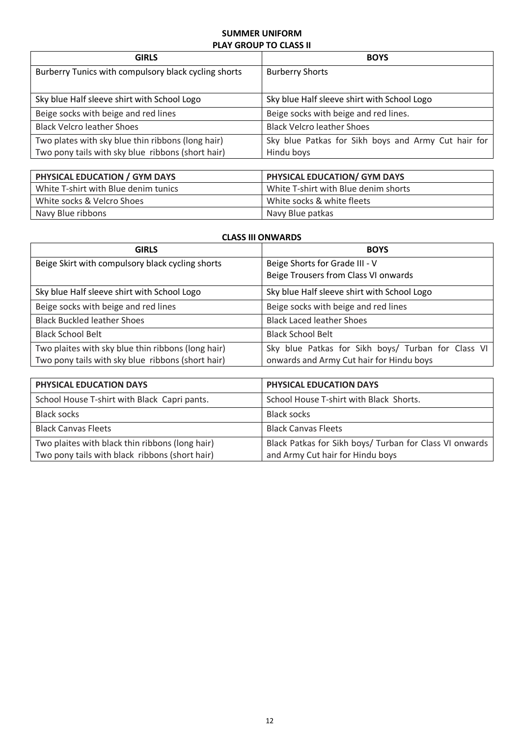#### **SUMMER UNIFORM PLAY GROUP TO CLASS II**

| <b>GIRLS</b>                                         | <b>BOYS</b>                                         |  |
|------------------------------------------------------|-----------------------------------------------------|--|
| Burberry Tunics with compulsory black cycling shorts | <b>Burberry Shorts</b>                              |  |
|                                                      |                                                     |  |
| Sky blue Half sleeve shirt with School Logo          | Sky blue Half sleeve shirt with School Logo         |  |
| Beige socks with beige and red lines                 | Beige socks with beige and red lines.               |  |
| <b>Black Velcro leather Shoes</b>                    | <b>Black Velcro leather Shoes</b>                   |  |
| Two plates with sky blue thin ribbons (long hair)    | Sky blue Patkas for Sikh boys and Army Cut hair for |  |
| Two pony tails with sky blue ribbons (short hair)    | Hindu boys                                          |  |

| PHYSICAL EDUCATION / GYM DAYS        | PHYSICAL EDUCATION/ GYM DAYS         |
|--------------------------------------|--------------------------------------|
| White T-shirt with Blue denim tunics | White T-shirt with Blue denim shorts |
| White socks & Velcro Shoes           | White socks & white fleets           |
| Navy Blue ribbons                    | Navy Blue patkas                     |

#### **CLASS III ONWARDS**

| <b>GIRLS</b>                                       | <b>BOYS</b>                                                            |
|----------------------------------------------------|------------------------------------------------------------------------|
| Beige Skirt with compulsory black cycling shorts   | Beige Shorts for Grade III - V<br>Beige Trousers from Class VI onwards |
| Sky blue Half sleeve shirt with School Logo        | Sky blue Half sleeve shirt with School Logo                            |
| Beige socks with beige and red lines               | Beige socks with beige and red lines                                   |
| <b>Black Buckled leather Shoes</b>                 | <b>Black Laced leather Shoes</b>                                       |
| <b>Black School Belt</b>                           | <b>Black School Belt</b>                                               |
| Two plaites with sky blue thin ribbons (long hair) | Sky blue Patkas for Sikh boys/ Turban for Class VI                     |
| Two pony tails with sky blue ribbons (short hair)  | onwards and Army Cut hair for Hindu boys                               |

| PHYSICAL EDUCATION DAYS                         | <b>PHYSICAL EDUCATION DAYS</b>                          |
|-------------------------------------------------|---------------------------------------------------------|
| School House T-shirt with Black Capri pants.    | School House T-shirt with Black Shorts.                 |
| <b>Black socks</b>                              | Black socks                                             |
| <b>Black Canvas Fleets</b>                      | <b>Black Canvas Fleets</b>                              |
| Two plaites with black thin ribbons (long hair) | Black Patkas for Sikh boys/ Turban for Class VI onwards |
| Two pony tails with black ribbons (short hair)  | and Army Cut hair for Hindu boys                        |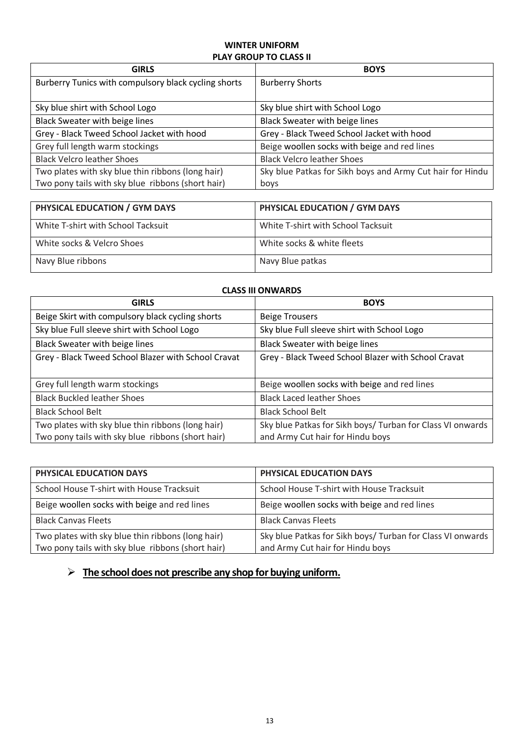## **WINTER UNIFORM PLAY GROUP TO CLASS II**

| <b>GIRLS</b>                                         | <b>BOYS</b>                                               |
|------------------------------------------------------|-----------------------------------------------------------|
| Burberry Tunics with compulsory black cycling shorts | <b>Burberry Shorts</b>                                    |
|                                                      |                                                           |
| Sky blue shirt with School Logo                      | Sky blue shirt with School Logo                           |
| Black Sweater with beige lines                       | Black Sweater with beige lines                            |
| Grey - Black Tweed School Jacket with hood           | Grey - Black Tweed School Jacket with hood                |
| Grey full length warm stockings                      | Beige woollen socks with beige and red lines              |
| <b>Black Velcro leather Shoes</b>                    | <b>Black Velcro leather Shoes</b>                         |
| Two plates with sky blue thin ribbons (long hair)    | Sky blue Patkas for Sikh boys and Army Cut hair for Hindu |
| Two pony tails with sky blue ribbons (short hair)    | boys                                                      |

| PHYSICAL EDUCATION / GYM DAYS      | PHYSICAL EDUCATION / GYM DAYS      |
|------------------------------------|------------------------------------|
| White T-shirt with School Tacksuit | White T-shirt with School Tacksuit |
| White socks & Velcro Shoes         | White socks & white fleets         |
| Navy Blue ribbons                  | Navy Blue patkas                   |

## **CLASS III ONWARDS**

| <b>GIRLS</b>                                        | <b>BOYS</b>                                                |
|-----------------------------------------------------|------------------------------------------------------------|
| Beige Skirt with compulsory black cycling shorts    | <b>Beige Trousers</b>                                      |
| Sky blue Full sleeve shirt with School Logo         | Sky blue Full sleeve shirt with School Logo                |
| Black Sweater with beige lines                      | Black Sweater with beige lines                             |
| Grey - Black Tweed School Blazer with School Cravat | Grey - Black Tweed School Blazer with School Cravat        |
| Grey full length warm stockings                     | Beige woollen socks with beige and red lines               |
| <b>Black Buckled leather Shoes</b>                  | <b>Black Laced leather Shoes</b>                           |
| <b>Black School Belt</b>                            | <b>Black School Belt</b>                                   |
| Two plates with sky blue thin ribbons (long hair)   | Sky blue Patkas for Sikh boys/ Turban for Class VI onwards |
| Two pony tails with sky blue ribbons (short hair)   | and Army Cut hair for Hindu boys                           |

| PHYSICAL EDUCATION DAYS                           | PHYSICAL EDUCATION DAYS                                    |
|---------------------------------------------------|------------------------------------------------------------|
| School House T-shirt with House Tracksuit         | School House T-shirt with House Tracksuit                  |
| Beige woollen socks with beige and red lines      | Beige woollen socks with beige and red lines               |
| <b>Black Canvas Fleets</b>                        | <b>Black Canvas Fleets</b>                                 |
| Two plates with sky blue thin ribbons (long hair) | Sky blue Patkas for Sikh boys/ Turban for Class VI onwards |
| Two pony tails with sky blue ribbons (short hair) | and Army Cut hair for Hindu boys                           |

# **The school does not prescribe any shop for buying uniform.**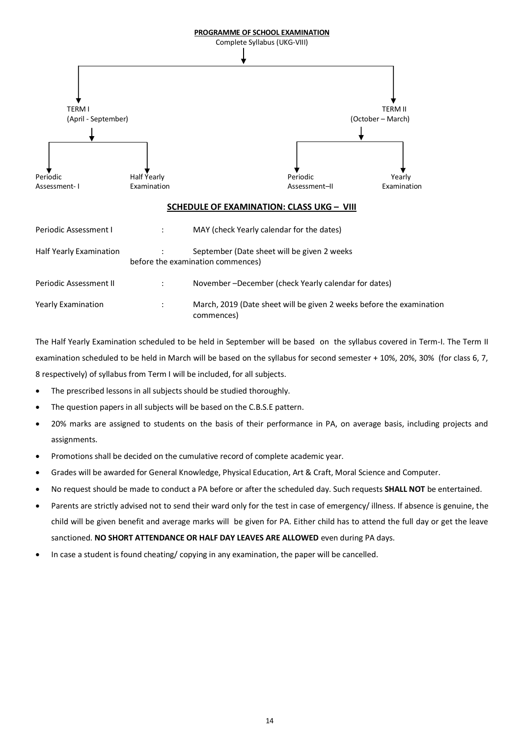

The Half Yearly Examination scheduled to be held in September will be based on the syllabus covered in Term-I. The Term II examination scheduled to be held in March will be based on the syllabus for second semester + 10%, 20%, 30% (for class 6, 7, 8 respectively) of syllabus from Term I will be included, for all subjects.

- The prescribed lessons in all subjects should be studied thoroughly.
- The question papers in all subjects will be based on the C.B.S.E pattern.
- 20% marks are assigned to students on the basis of their performance in PA, on average basis, including projects and assignments.
- Promotions shall be decided on the cumulative record of complete academic year.
- Grades will be awarded for General Knowledge, Physical Education, Art & Craft, Moral Science and Computer.
- No request should be made to conduct a PA before or after the scheduled day. Such requests **SHALL NOT** be entertained.
- Parents are strictly advised not to send their ward only for the test in case of emergency/ illness. If absence is genuine, the child will be given benefit and average marks will be given for PA. Either child has to attend the full day or get the leave sanctioned. **NO SHORT ATTENDANCE OR HALF DAY LEAVES ARE ALLOWED** even during PA days.
- In case a student is found cheating/ copying in any examination, the paper will be cancelled.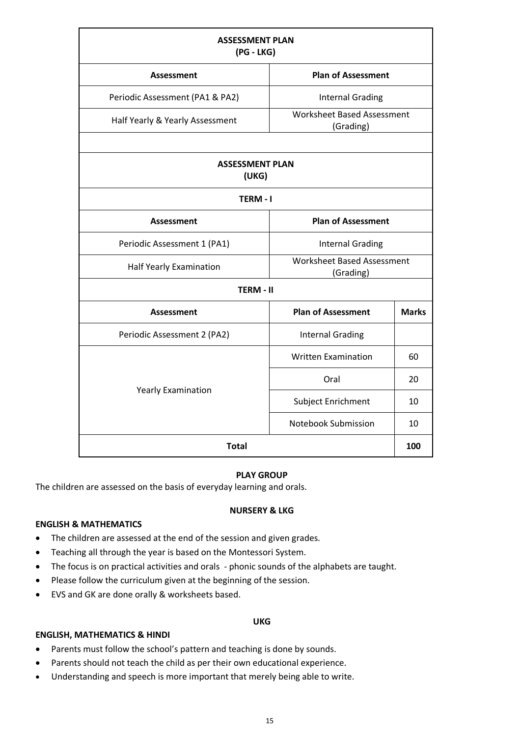| <b>ASSESSMENT PLAN</b><br>$(PG - LKG)$ |                                                |              |  |  |  |
|----------------------------------------|------------------------------------------------|--------------|--|--|--|
| Assessment                             | <b>Plan of Assessment</b>                      |              |  |  |  |
| Periodic Assessment (PA1 & PA2)        | <b>Internal Grading</b>                        |              |  |  |  |
| Half Yearly & Yearly Assessment        | <b>Worksheet Based Assessment</b><br>(Grading) |              |  |  |  |
|                                        |                                                |              |  |  |  |
| <b>ASSESSMENT PLAN</b><br>(UKG)        |                                                |              |  |  |  |
| <b>TERM-I</b>                          |                                                |              |  |  |  |
| <b>Assessment</b>                      | <b>Plan of Assessment</b>                      |              |  |  |  |
| Periodic Assessment 1 (PA1)            | <b>Internal Grading</b>                        |              |  |  |  |
| Half Yearly Examination                | <b>Worksheet Based Assessment</b><br>(Grading) |              |  |  |  |
| <b>TERM - II</b>                       |                                                |              |  |  |  |
| <b>Assessment</b>                      | <b>Plan of Assessment</b>                      | <b>Marks</b> |  |  |  |
| Periodic Assessment 2 (PA2)            | <b>Internal Grading</b>                        |              |  |  |  |
|                                        | <b>Written Examination</b>                     | 60           |  |  |  |
| <b>Yearly Examination</b>              | Oral                                           | 20           |  |  |  |
|                                        | Subject Enrichment                             | 10           |  |  |  |
|                                        | <b>Notebook Submission</b>                     | 10           |  |  |  |
| <b>Total</b>                           |                                                |              |  |  |  |

## **PLAY GROUP**

The children are assessed on the basis of everyday learning and orals.

## **ENGLISH & MATHEMATICS**

#### **NURSERY & LKG**

**UKG**

- The children are assessed at the end of the session and given grades.
- Teaching all through the year is based on the Montessori System.
- The focus is on practical activities and orals phonic sounds of the alphabets are taught.
- Please follow the curriculum given at the beginning of the session.
- EVS and GK are done orally & worksheets based.

#### **ENGLISH, MATHEMATICS & HINDI**

- Parents must follow the school's pattern and teaching is done by sounds.
- Parents should not teach the child as per their own educational experience.
- Understanding and speech is more important that merely being able to write.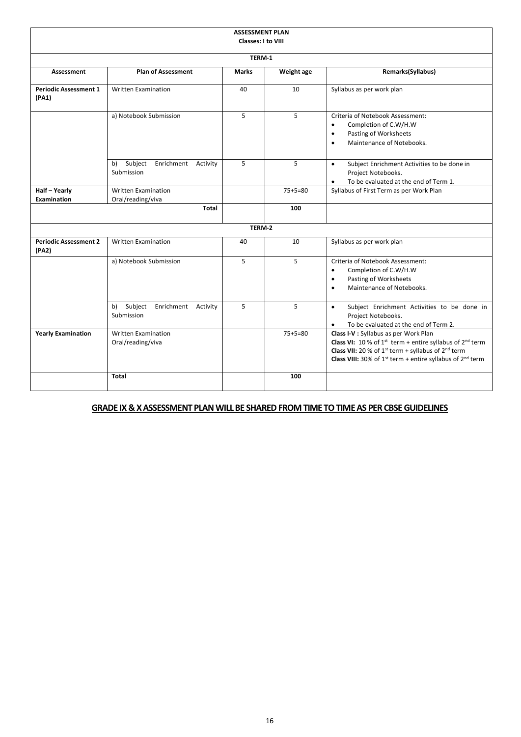| <b>ASSESSMENT PLAN</b><br><b>Classes: I to VIII</b> |                                                       |              |               |                                                                                                                                                                                                                                                                  |  |  |  |  |
|-----------------------------------------------------|-------------------------------------------------------|--------------|---------------|------------------------------------------------------------------------------------------------------------------------------------------------------------------------------------------------------------------------------------------------------------------|--|--|--|--|
| TERM-1                                              |                                                       |              |               |                                                                                                                                                                                                                                                                  |  |  |  |  |
| Assessment                                          | <b>Plan of Assessment</b>                             | <b>Marks</b> | Weight age    | Remarks(Syllabus)                                                                                                                                                                                                                                                |  |  |  |  |
| <b>Periodic Assessment 1</b><br>(PA1)               | <b>Written Examination</b>                            | 40           | 10            | Syllabus as per work plan                                                                                                                                                                                                                                        |  |  |  |  |
|                                                     | a) Notebook Submission                                | 5            | 5             | Criteria of Notebook Assessment:<br>Completion of C.W/H.W<br>$\bullet$<br>Pasting of Worksheets<br>$\bullet$<br>Maintenance of Notebooks.<br>$\bullet$                                                                                                           |  |  |  |  |
|                                                     | Subject<br>Enrichment<br>b)<br>Activity<br>Submission | 5            | 5             | $\bullet$<br>Subject Enrichment Activities to be done in<br>Project Notebooks.<br>To be evaluated at the end of Term 1.                                                                                                                                          |  |  |  |  |
| Half-Yearly                                         | <b>Written Examination</b>                            |              | $75+5=80$     | Syllabus of First Term as per Work Plan                                                                                                                                                                                                                          |  |  |  |  |
| <b>Examination</b>                                  | Oral/reading/viva<br><b>Total</b>                     |              | 100           |                                                                                                                                                                                                                                                                  |  |  |  |  |
|                                                     |                                                       | TERM-2       |               |                                                                                                                                                                                                                                                                  |  |  |  |  |
| <b>Periodic Assessment 2</b><br>(PA2)               | Written Examination                                   | 40           | 10            | Syllabus as per work plan                                                                                                                                                                                                                                        |  |  |  |  |
|                                                     | a) Notebook Submission                                | 5            | 5             | Criteria of Notebook Assessment:<br>Completion of C.W/H.W<br>$\bullet$<br>Pasting of Worksheets<br>$\bullet$<br>Maintenance of Notebooks.<br>$\bullet$                                                                                                           |  |  |  |  |
|                                                     | b) Subject<br>Enrichment Activity<br>Submission       | 5            | 5             | Subject Enrichment Activities to be done in<br>$\bullet$<br>Project Notebooks.<br>To be evaluated at the end of Term 2.                                                                                                                                          |  |  |  |  |
| <b>Yearly Examination</b>                           | <b>Written Examination</b><br>Oral/reading/viva       |              | $75 + 5 = 80$ | Class I-V : Syllabus as per Work Plan<br>Class VI: 10 % of $1^{st}$ term + entire syllabus of $2^{nd}$ term<br><b>Class VII:</b> 20 % of $1^{st}$ term + syllabus of $2^{nd}$ term<br><b>Class VIII:</b> 30% of $1^{st}$ term + entire syllabus of $2^{nd}$ term |  |  |  |  |
|                                                     | <b>Total</b>                                          |              | 100           |                                                                                                                                                                                                                                                                  |  |  |  |  |

## **GRADE IX & X ASSESSMENT PLAN WILL BE SHARED FROM TIME TO TIME AS PER CBSE GUIDELINES**